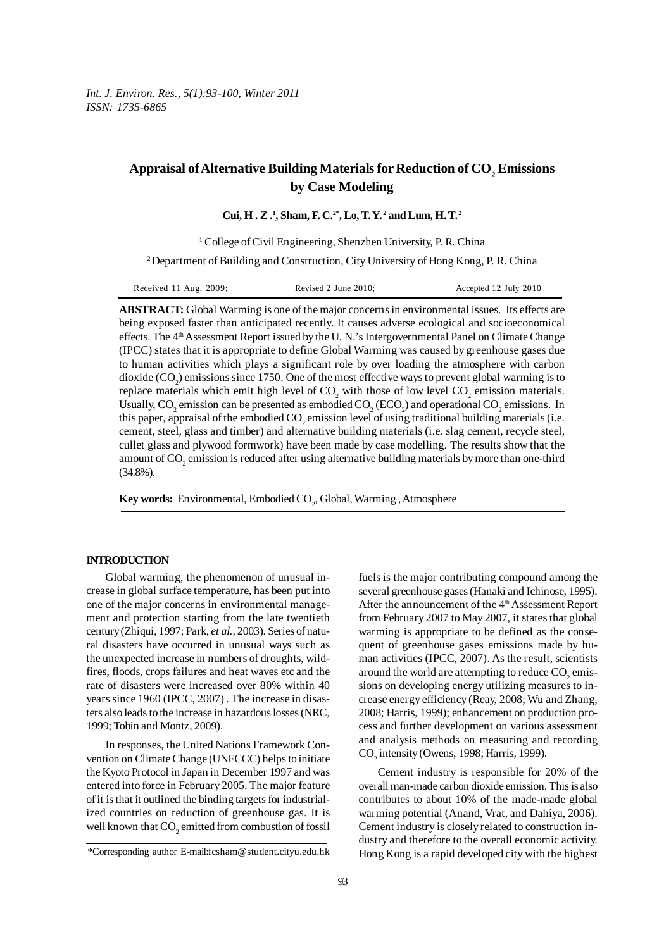*Int. J. Environ. Res., 5(1):93-100, Winter 2011 ISSN: 1735-6865*

# Appraisal of Alternative Building Materials for Reduction of CO<sub>2</sub> Emissions **by Case Modeling**

**Cui, H . Z .1 , Sham, F. C.2\*, Lo, T. Y. 2 and Lum, H. T. 2**

<sup>1</sup> College of Civil Engineering, Shenzhen University, P. R. China

2 Department of Building and Construction, City University of Hong Kong, P. R. China

| Received 11 Aug. 2009; | Revised 2 June 2010; | Accepted 12 July 2010 |
|------------------------|----------------------|-----------------------|
|------------------------|----------------------|-----------------------|

**ABSTRACT:** Global Warming is one of the major concerns in environmental issues. Its effects are being exposed faster than anticipated recently. It causes adverse ecological and socioeconomical effects. The 4<sup>th</sup> Assessment Report issued by the U.N.'s Intergovernmental Panel on Climate Change (IPCC) states that it is appropriate to define Global Warming was caused by greenhouse gases due to human activities which plays a significant role by over loading the atmosphere with carbon dioxide  $(CO_2)$  emissions since 1750. One of the most effective ways to prevent global warming is to replace materials which emit high level of  $CO_2$  with those of low level  $CO_2$  emission materials. Usually, CO<sub>2</sub> emission can be presented as embodied CO<sub>2</sub> (ECO<sub>2</sub>) and operational CO<sub>2</sub> emissions. In this paper, appraisal of the embodied  $\mathrm{CO}_2$  emission level of using traditional building materials (i.e. cement, steel, glass and timber) and alternative building materials (i.e. slag cement, recycle steel, cullet glass and plywood formwork) have been made by case modelling. The results show that the amount of  $\mathrm{CO}_2$  emission is reduced after using alternative building materials by more than one-third (34.8%).

**Key words:** Environmental, Embodied CO<sub>2</sub>, Global, Warming, Atmosphere

## **INTRODUCTION**

Global warming, the phenomenon of unusual increase in global surface temperature, has been put into one of the major concerns in environmental management and protection starting from the late twentieth century (Zhiqui, 1997; Park, *et al.,* 2003). Series of natural disasters have occurred in unusual ways such as the unexpected increase in numbers of droughts, wildfires, floods, crops failures and heat waves etc and the rate of disasters were increased over 80% within 40 years since 1960 (IPCC, 2007) . The increase in disasters also leads to the increase in hazardous losses (NRC, 1999; Tobin and Montz, 2009).

In responses, the United Nations Framework Convention on Climate Change (UNFCCC) helps to initiate the Kyoto Protocol in Japan in December 1997 and was entered into force in February 2005. The major feature of it is that it outlined the binding targets for industrialized countries on reduction of greenhouse gas. It is well known that  $CO_2$  emitted from combustion of fossil

fuels is the major contributing compound among the several greenhouse gases (Hanaki and Ichinose, 1995). After the announcement of the 4<sup>th</sup> Assessment Report from February 2007 to May 2007, it states that global warming is appropriate to be defined as the consequent of greenhouse gases emissions made by human activities (IPCC, 2007). As the result, scientists around the world are attempting to reduce  $\mathrm{CO}_2^{\vphantom{\dagger}}$  emissions on developing energy utilizing measures to increase energy efficiency (Reay, 2008; Wu and Zhang, 2008; Harris, 1999); enhancement on production process and further development on various assessment and analysis methods on measuring and recording  $CO<sub>2</sub>$  intensity (Owens, 1998; Harris, 1999).

Cement industry is responsible for 20% of the overall man-made carbon dioxide emission. This is also contributes to about 10% of the made-made global warming potential (Anand, Vrat, and Dahiya, 2006). Cement industry is closely related to construction industry and therefore to the overall economic activity. Hong Kong is a rapid developed city with the highest

<sup>\*</sup>Corresponding author E-mail:fcsham@student.cityu.edu.hk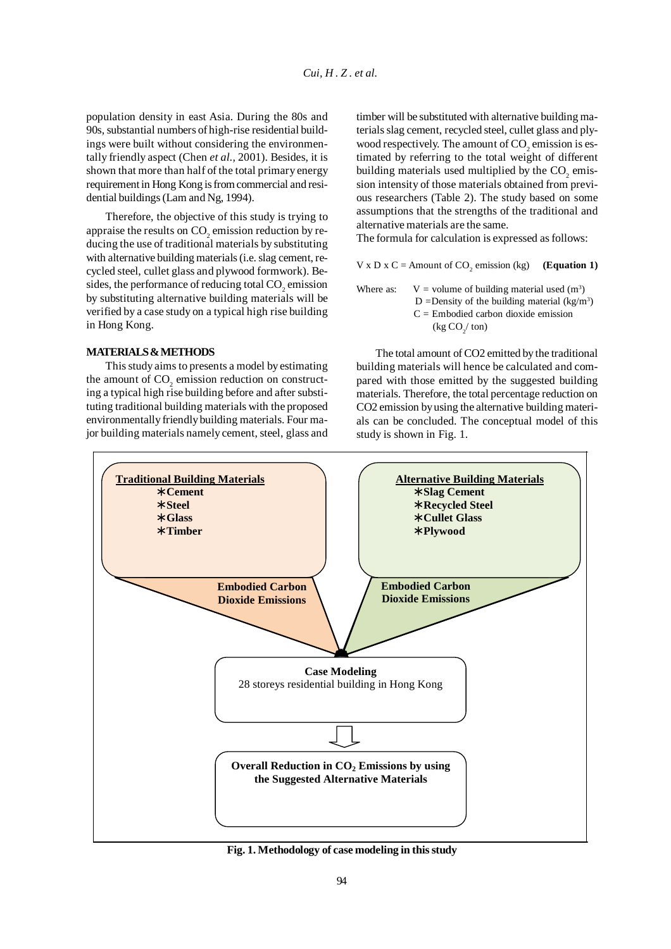population density in east Asia. During the 80s and 90s, substantial numbers of high-rise residential buildings were built without considering the environmentally friendly aspect (Chen *et al.,* 2001). Besides, it is shown that more than half of the total primary energy requirement in Hong Kong is from commercial and residential buildings (Lam and Ng, 1994).

Therefore, the objective of this study is trying to appraise the results on  $\mathrm{CO}_2$  emission reduction by reducing the use of traditional materials by substituting with alternative building materials (i.e. slag cement, recycled steel, cullet glass and plywood formwork). Besides, the performance of reducing total  $\mathrm{CO}_2$  emission by substituting alternative building materials will be verified by a case study on a typical high rise building in Hong Kong.

## **MATERIALS & METHODS**

This study aims to presents a model by estimating the amount of  $CO<sub>2</sub>$  emission reduction on constructing a typical high rise building before and after substituting traditional building materials with the proposed environmentally friendly building materials. Four major building materials namely cement, steel, glass and timber will be substituted with alternative building materials slag cement, recycled steel, cullet glass and plywood respectively. The amount of  $\mathrm{CO}_2$  emission is estimated by referring to the total weight of different building materials used multiplied by the  $CO<sub>2</sub>$  emission intensity of those materials obtained from previous researchers (Table 2). The study based on some assumptions that the strengths of the traditional and alternative materials are the same.

The formula for calculation is expressed as follows:

 $V \times D \times C =$  Amount of CO<sub>2</sub> emission (kg) (**Equation 1**)

Where as:  $V =$  volume of building material used  $(m^3)$ D = Density of the building material  $(kg/m<sup>3</sup>)$  $C =$  Embodied carbon dioxide emission  $(\text{kg CO}_2 / \text{ton})$ 

The total amount of CO2 emitted by the traditional building materials will hence be calculated and compared with those emitted by the suggested building materials. Therefore, the total percentage reduction on CO2 emission by using the alternative building materials can be concluded. The conceptual model of this study is shown in Fig. 1.



**Fig. 1. Methodology of case modeling in this study**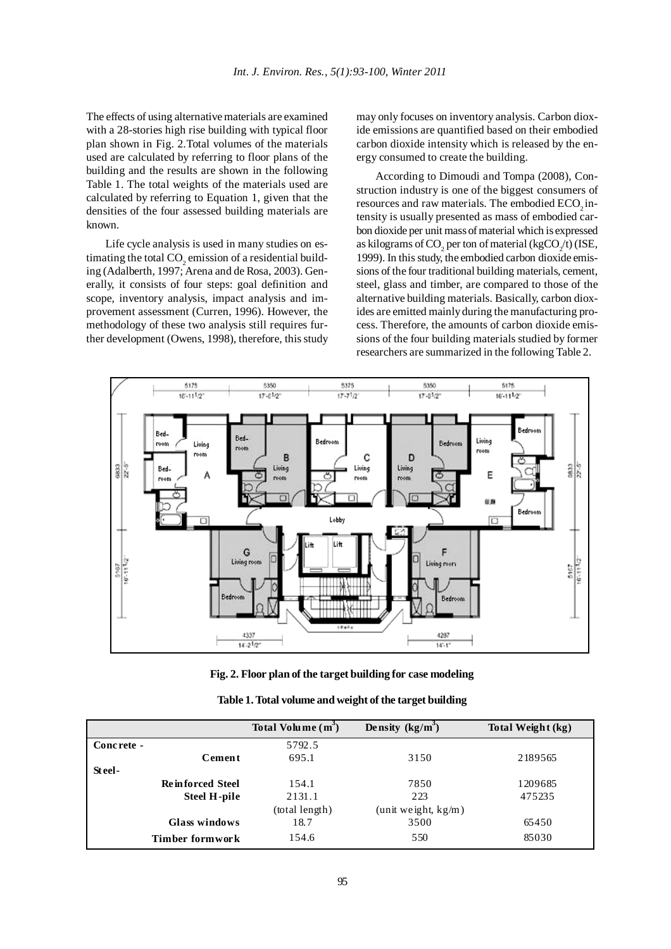The effects of using alternative materials are examined with a 28-stories high rise building with typical floor plan shown in Fig. 2.Total volumes of the materials used are calculated by referring to floor plans of the building and the results are shown in the following Table 1. The total weights of the materials used are calculated by referring to Equation 1, given that the densities of the four assessed building materials are known.

Life cycle analysis is used in many studies on estimating the total  $\mathrm{CO}_2$  emission of a residential building (Adalberth, 1997; Arena and de Rosa, 2003). Generally, it consists of four steps: goal definition and scope, inventory analysis, impact analysis and improvement assessment (Curren, 1996). However, the methodology of these two analysis still requires further development (Owens, 1998), therefore, this study may only focuses on inventory analysis. Carbon dioxide emissions are quantified based on their embodied carbon dioxide intensity which is released by the energy consumed to create the building.

According to Dimoudi and Tompa (2008), Construction industry is one of the biggest consumers of resources and raw materials. The embodied ECO<sub>2</sub> intensity is usually presented as mass of embodied carbon dioxide per unit mass of material which is expressed as kilograms of CO<sub>2</sub> per ton of material (kgCO<sub>2</sub>/t) (ISE, 1999). In this study, the embodied carbon dioxide emissions of the four traditional building materials, cement, steel, glass and timber, are compared to those of the alternative building materials. Basically, carbon dioxides are emitted mainly during the manufacturing process. Therefore, the amounts of carbon dioxide emissions of the four building materials studied by former researchers are summarized in the following Table 2.



**Fig. 2. Floor plan of the target building for case modeling**

|  | Table 1. Total volume and weight of the target building |  |
|--|---------------------------------------------------------|--|
|  |                                                         |  |

|                         | Total Volume $(m^3)$ | Density $(kg/m^3)$  | Total Weight (kg) |
|-------------------------|----------------------|---------------------|-------------------|
| Concrete -              | 5792.5               |                     |                   |
| Cement                  | 695.1                | 3150                | 2189565           |
| Steel-                  |                      |                     |                   |
| <b>Reinforced Steel</b> | 154.1                | 7850                | 1209685           |
| <b>Steel H-pile</b>     | 2131.1               | 223                 | 475235            |
|                         | (total length)       | (unit weight, kg/m) |                   |
| Glass windows           | 18.7                 | 3500                | 65450             |
| Timber formwork         | 154.6                | 550                 | 85030             |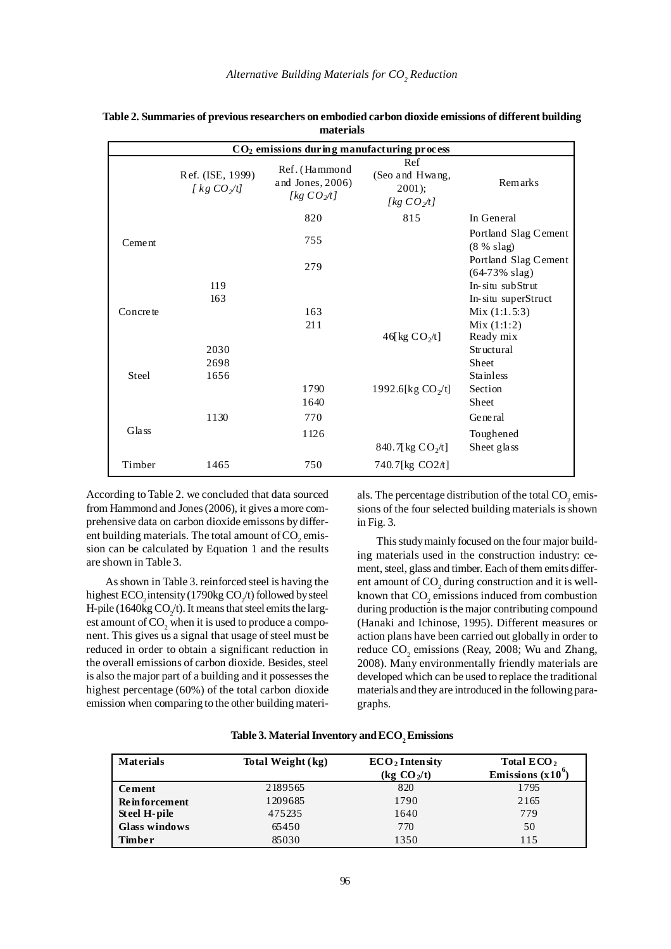| CO <sub>2</sub> emissions during manufacturing process |                                        |                                                         |                                                       |                                                  |
|--------------------------------------------------------|----------------------------------------|---------------------------------------------------------|-------------------------------------------------------|--------------------------------------------------|
|                                                        | Ref. (ISE, 1999)<br>[ $kg CO \sim/l$ ] | Ref. (Hammond<br>and Jones, $2006$ )<br>[ $kg CO_2/t$ ] | Ref<br>(Seo and Hwang,<br>2001);<br>[ $kg CO \sim$ 1] | Remarks                                          |
|                                                        |                                        | 820                                                     | 815                                                   | In General                                       |
| Cement                                                 |                                        | 755                                                     |                                                       | Portland Slag Cement<br>$(8\% \text{ slag})$     |
|                                                        |                                        | 279                                                     |                                                       | Portland Slag Cement<br>$(64-73\% \text{ slag})$ |
|                                                        | 119                                    |                                                         |                                                       | In-situ subStrut                                 |
|                                                        | 163                                    |                                                         |                                                       | In-situ superStruct                              |
| Concrete                                               |                                        | 163                                                     |                                                       | Mix(1:1.5:3)                                     |
|                                                        |                                        | 211                                                     |                                                       | Mix(1:1:2)                                       |
|                                                        |                                        |                                                         | 46 kg $CO2/t$                                         | Ready mix                                        |
|                                                        | 2030                                   |                                                         |                                                       | Structural                                       |
|                                                        | 2698                                   |                                                         |                                                       | Sheet                                            |
| Steel                                                  | 1656                                   |                                                         |                                                       | <b>Stainless</b>                                 |
|                                                        |                                        | 1790                                                    | 1992.6[kg $CO_2/t$ ]                                  | Section                                          |
|                                                        |                                        | 1640                                                    |                                                       | Sheet                                            |
|                                                        | 1130                                   | 770                                                     |                                                       | General                                          |
| Glass                                                  |                                        | 1126                                                    |                                                       | Toughened                                        |
|                                                        |                                        |                                                         | 840.7[kg $CO_2/t$ ]                                   | Sheet glass                                      |
| Timber                                                 | 1465                                   | 750                                                     | 740.7[kg CO2/t]                                       |                                                  |

| Table 2. Summaries of previous researchers on embodied carbon dioxide emissions of different building |
|-------------------------------------------------------------------------------------------------------|
| materials                                                                                             |

According to Table 2. we concluded that data sourced from Hammond and Jones (2006), it gives a more comprehensive data on carbon dioxide emissons by different building materials. The total amount of  $\mathrm{CO}_2$  emission can be calculated by Equation 1 and the results are shown in Table 3.

As shown in Table 3. reinforced steel is having the highest  $\text{ECO}_2$  intensity (1790kg  $\text{CO}_2$ /t) followed by steel H-pile (1640 $kg CO_2/t$ ). It means that steel emits the largest amount of  $\mathrm{CO}_2$  when it is used to produce a component. This gives us a signal that usage of steel must be reduced in order to obtain a significant reduction in the overall emissions of carbon dioxide. Besides, steel is also the major part of a building and it possesses the highest percentage (60%) of the total carbon dioxide emission when comparing to the other building materi-

als. The percentage distribution of the total  $\mathrm{CO}_2$  emissions of the four selected building materials is shown in Fig. 3.

This study mainly focused on the four major building materials used in the construction industry: cement, steel, glass and timber. Each of them emits different amount of  $\mathrm{CO}_2$  during construction and it is wellknown that  $CO<sub>2</sub>$  emissions induced from combustion during production is the major contributing compound (Hanaki and Ichinose, 1995). Different measures or action plans have been carried out globally in order to reduce  $CO_2$  emissions (Reay, 2008; Wu and Zhang, 2008). Many environmentally friendly materials are developed which can be used to replace the traditional materials and they are introduced in the following paragraphs.

| <b>Materials</b>     | Total Weight (kg) | $ECO2$ Intensity<br>$\frac{1}{2}$ CO <sub>2</sub> /t) | Total $ECO2$<br>Emissions $(x10)$ <sup>o</sup> |
|----------------------|-------------------|-------------------------------------------------------|------------------------------------------------|
| Cement               | 2189565           | 820                                                   | 1795                                           |
| <b>Reinforcement</b> | 1209685           | 1790                                                  | 2165                                           |
| Steel H-pile         | 475235            | 1640                                                  | 779                                            |
| Glass windows        | 65450             | 770                                                   | 50                                             |
| <b>Timber</b>        | 85030             | 1350                                                  | 115                                            |

| Table 3. Material Inventory and $\mathrm{ECO}_{_2}$ Emissions |  |  |
|---------------------------------------------------------------|--|--|
|---------------------------------------------------------------|--|--|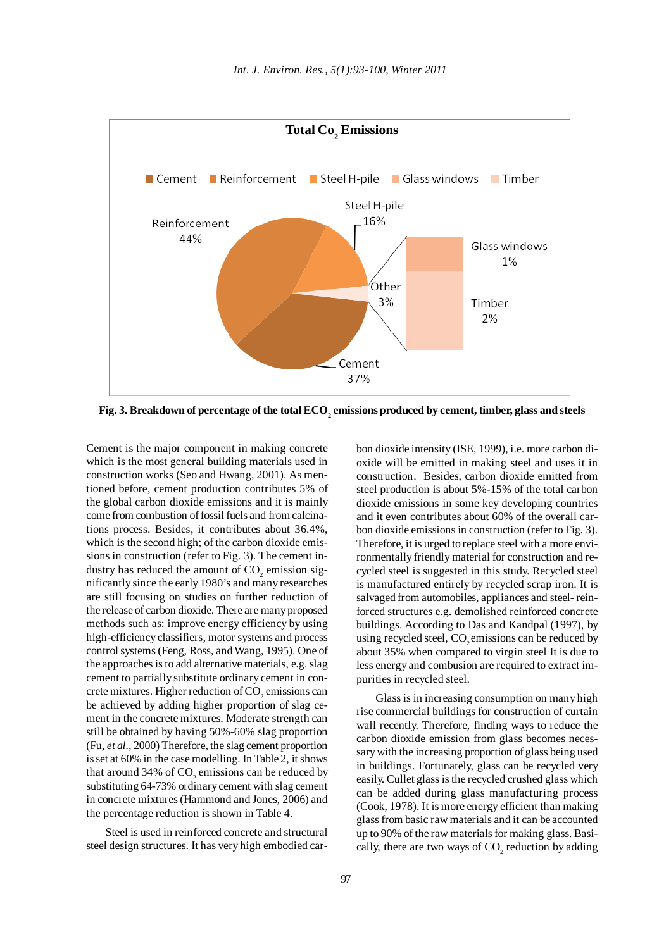

Fig. 3. Breakdown of percentage of the total ECO<sub>2</sub> emissions produced by cement, timber, glass and steels

Cement is the major component in making concrete which is the most general building materials used in construction works (Seo and Hwang, 2001). As mentioned before, cement production contributes 5% of the global carbon dioxide emissions and it is mainly come from combustion of fossil fuels and from calcinations process. Besides, it contributes about 36.4%, which is the second high; of the carbon dioxide emissions in construction (refer to Fig. 3). The cement industry has reduced the amount of  $CO<sub>2</sub>$  emission significantly since the early 1980's and many researches are still focusing on studies on further reduction of the release of carbon dioxide. There are many proposed methods such as: improve energy efficiency by using high-efficiency classifiers, motor systems and process control systems (Feng, Ross, and Wang, 1995). One of the approaches is to add alternative materials, e.g. slag cement to partially substitute ordinary cement in concrete mixtures. Higher reduction of  $\mathrm{CO}_2$  emissions can be achieved by adding higher proportion of slag cement in the concrete mixtures. Moderate strength can still be obtained by having 50%-60% slag proportion (Fu, *et al.,* 2000) Therefore, the slag cement proportion is set at 60% in the case modelling. In Table 2, it shows that around 34% of  $CO<sub>2</sub>$  emissions can be reduced by substituting 64-73% ordinary cement with slag cement in concrete mixtures (Hammond and Jones, 2006) and the percentage reduction is shown in Table 4.

Steel is used in reinforced concrete and structural steel design structures. It has very high embodied carbon dioxide intensity (ISE, 1999), i.e. more carbon dioxide will be emitted in making steel and uses it in construction. Besides, carbon dioxide emitted from steel production is about 5%-15% of the total carbon dioxide emissions in some key developing countries and it even contributes about 60% of the overall carbon dioxide emissions in construction (refer to Fig. 3). Therefore, it is urged to replace steel with a more environmentally friendly material for construction and recycled steel is suggested in this study. Recycled steel is manufactured entirely by recycled scrap iron. It is salvaged from automobiles, appliances and steel- reinforced structures e.g. demolished reinforced concrete buildings. According to Das and Kandpal (1997), by using recycled steel, CO<sub>2</sub> emissions can be reduced by about 35% when compared to virgin steel It is due to less energy and combusion are required to extract impurities in recycled steel.

Glass is in increasing consumption on many high rise commercial buildings for construction of curtain wall recently. Therefore, finding ways to reduce the carbon dioxide emission from glass becomes necessary with the increasing proportion of glass being used in buildings. Fortunately, glass can be recycled very easily. Cullet glass is the recycled crushed glass which can be added during glass manufacturing process (Cook, 1978). It is more energy efficient than making glass from basic raw materials and it can be accounted up to 90% of the raw materials for making glass. Basically, there are two ways of  $CO_2$  reduction by adding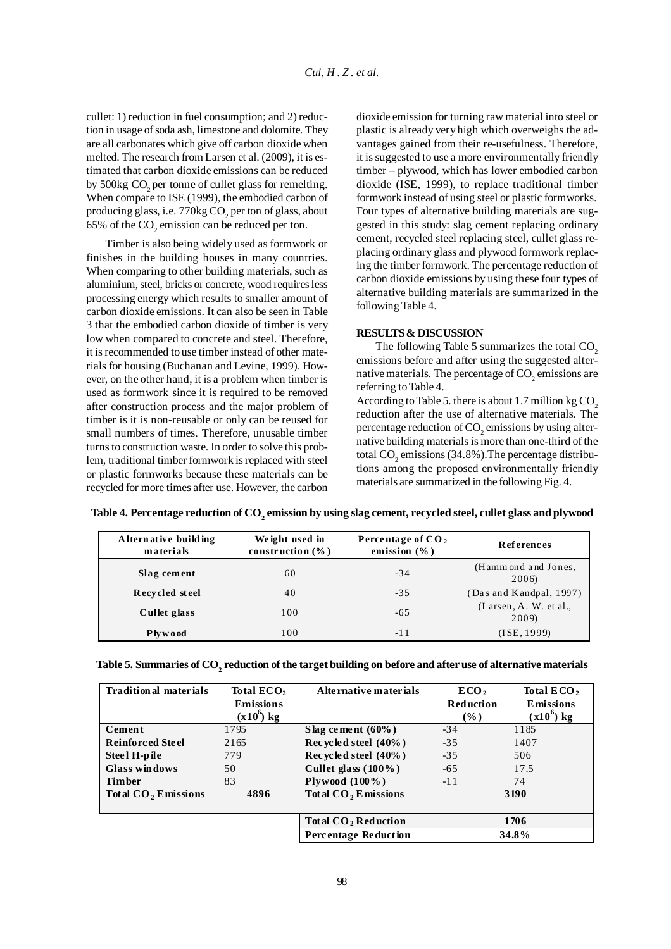cullet: 1) reduction in fuel consumption; and 2) reduction in usage of soda ash, limestone and dolomite. They are all carbonates which give off carbon dioxide when melted. The research from Larsen et al. (2009), it is estimated that carbon dioxide emissions can be reduced by 500kg CO<sub>2</sub> per tonne of cullet glass for remelting. When compare to ISE (1999), the embodied carbon of producing glass, i.e.  $770 \text{kg CO}_2$  per ton of glass, about 65% of the  $CO_2$  emission can be reduced per ton.

Timber is also being widely used as formwork or finishes in the building houses in many countries. When comparing to other building materials, such as aluminium, steel, bricks or concrete, wood requires less processing energy which results to smaller amount of carbon dioxide emissions. It can also be seen in Table 3 that the embodied carbon dioxide of timber is very low when compared to concrete and steel. Therefore, it is recommended to use timber instead of other materials for housing (Buchanan and Levine, 1999). However, on the other hand, it is a problem when timber is used as formwork since it is required to be removed after construction process and the major problem of timber is it is non-reusable or only can be reused for small numbers of times. Therefore, unusable timber turns to construction waste. In order to solve this problem, traditional timber formwork is replaced with steel or plastic formworks because these materials can be recycled for more times after use. However, the carbon dioxide emission for turning raw material into steel or plastic is already very high which overweighs the advantages gained from their re-usefulness. Therefore, it is suggested to use a more environmentally friendly timber – plywood, which has lower embodied carbon dioxide (ISE, 1999), to replace traditional timber formwork instead of using steel or plastic formworks. Four types of alternative building materials are suggested in this study: slag cement replacing ordinary cement, recycled steel replacing steel, cullet glass replacing ordinary glass and plywood formwork replacing the timber formwork. The percentage reduction of carbon dioxide emissions by using these four types of alternative building materials are summarized in the following Table 4.

### **RESULTS & DISCUSSION**

The following Table 5 summarizes the total  $CO<sub>2</sub>$ emissions before and after using the suggested alternative materials. The percentage of  $\mathrm{CO}_2$  emissions are referring to Table 4.

According to Table 5. there is about 1.7 million kg  $CO<sub>2</sub>$ reduction after the use of alternative materials. The percentage reduction of  $\mathrm{CO}_2$  emissions by using alternative building materials is more than one-third of the total  $\mathrm{CO}_2$  emissions (34.8%). The percentage distributions among the proposed environmentally friendly materials are summarized in the following Fig. 4.

|  |  | Table 4. Percentage reduction of CO <sub>,</sub> emission by using slag cement, recycled steel, cullet glass and plywood |
|--|--|--------------------------------------------------------------------------------------------------------------------------|
|--|--|--------------------------------------------------------------------------------------------------------------------------|

| Alternative building<br>materials | Weight used in<br>construction $(\% )$ | Percentage of $CO2$<br>emission $(\% )$ | References                      |
|-----------------------------------|----------------------------------------|-----------------------------------------|---------------------------------|
| Slag cement                       | 60                                     | $-34$                                   | (Hammond and Jones,<br>2006)    |
| Recycled steel                    | 40                                     | $-3.5$                                  | (Das and Kandpal, 1997)         |
| Cullet glass                      | 100                                    | $-6.5$                                  | (Larsen, A. W. et al.,<br>2009) |
| Plywood                           | 100                                    | $-11$                                   | (ISE, 1999)                     |

| <b>Traditional materials</b>    | Total ECO <sub>2</sub><br><b>Emissions</b> | Alternative materials     | ECO <sub>2</sub><br>Reduction | Total ECO <sub>2</sub><br><b>E</b> missions |
|---------------------------------|--------------------------------------------|---------------------------|-------------------------------|---------------------------------------------|
|                                 | $(x10^6)$ kg                               |                           | $($ %)                        | $(x10^6)$ kg                                |
| Cement                          | 1795                                       | Slag cement $(60\%)$      | $-34$                         | 1185                                        |
| <b>Reinforced Steel</b>         | 2165                                       | Rec ycled steel $(40\%)$  | $-35$                         | 1407                                        |
| Steel H-pile                    | 779                                        | Rec vc led steel $(40\%)$ | $-35$                         | 506                                         |
| Glass windows                   | 50                                         | Cullet glass $(100\%)$    | $-65$                         | 17.5                                        |
| <b>Timber</b>                   | 83                                         | Plywood $(100\%)$         | $-11$                         | 74                                          |
| Total CO <sub>2</sub> Emissions | 4896                                       | Total $CO2$ Emissions     |                               | 3190                                        |

Table 5. Summaries of  $\mathrm{CO}_2$  reduction of the target building on before and after use of alternative materials

Total CO<sub>2</sub> Reduction **1706 Percentage Reduction 34.8%**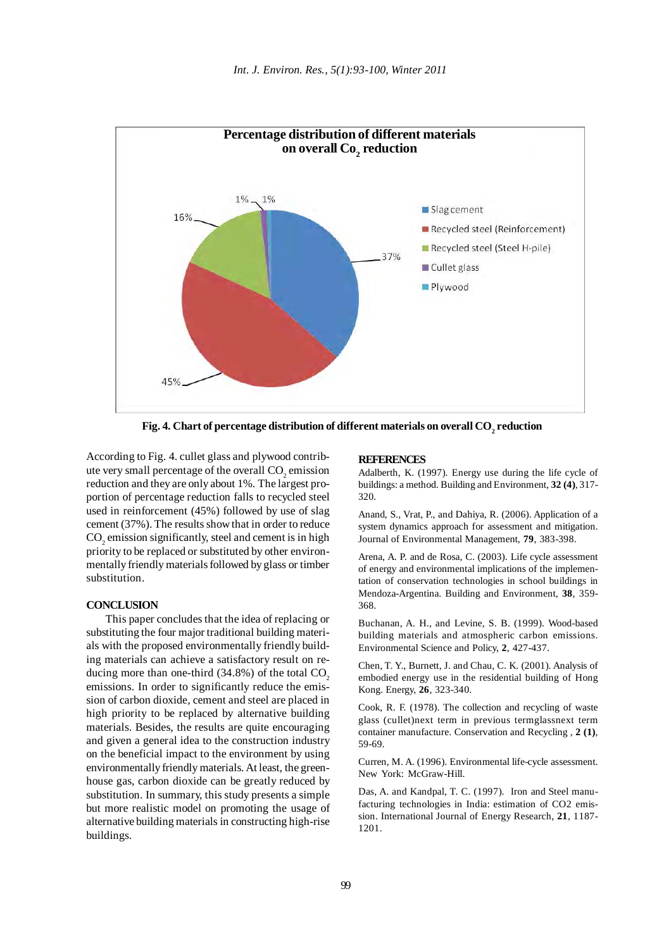

Fig. 4. Chart of percentage distribution of different materials on overall CO<sub>2</sub> reduction

According to Fig. 4. cullet glass and plywood contribute very small percentage of the overall  $CO<sub>2</sub>$  emission reduction and they are only about 1%. The largest proportion of percentage reduction falls to recycled steel used in reinforcement (45%) followed by use of slag cement (37%). The results show that in order to reduce  $\mathrm{CO}_2$  emission significantly, steel and cement is in high priority to be replaced or substituted by other environmentally friendly materials followed by glass or timber substitution.

### **CONCLUSION**

This paper concludes that the idea of replacing or substituting the four major traditional building materials with the proposed environmentally friendly building materials can achieve a satisfactory result on reducing more than one-third  $(34.8\%)$  of the total CO<sub>2</sub> emissions. In order to significantly reduce the emission of carbon dioxide, cement and steel are placed in high priority to be replaced by alternative building materials. Besides, the results are quite encouraging and given a general idea to the construction industry on the beneficial impact to the environment by using environmentally friendly materials. At least, the greenhouse gas, carbon dioxide can be greatly reduced by substitution. In summary, this study presents a simple but more realistic model on promoting the usage of alternative building materials in constructing high-rise buildings.

#### **REFERENCES**

Adalberth, K. (1997). Energy use during the life cycle of buildings: a method. Building and Environment, **32 (4)**, 317- 320.

Anand, S., Vrat, P., and Dahiya, R. (2006). Application of a system dynamics approach for assessment and mitigation. Journal of Environmental Management, **79**, 383-398.

Arena, A. P. and de Rosa, C. (2003). Life cycle assessment of energy and environmental implications of the implementation of conservation technologies in school buildings in Mendoza-Argentina. Building and Environment, **38**, 359- 368.

Buchanan, A. H., and Levine, S. B. (1999). Wood-based building materials and atmospheric carbon emissions. Environmental Science and Policy, **2**, 427-437.

Chen, T. Y., Burnett, J. and Chau, C. K. (2001). Analysis of embodied energy use in the residential building of Hong Kong. Energy, **26**, 323-340.

Cook, R. F. (1978). The collection and recycling of waste glass (cullet)next term in previous termglassnext term container manufacture. Conservation and Recycling , **2 (1)**, 59-69.

Curren, M. A. (1996). Environmental life-cycle assessment. New York: McGraw-Hill.

Das, A. and Kandpal, T. C. (1997). Iron and Steel manufacturing technologies in India: estimation of CO2 emission. International Journal of Energy Research, **21**, 1187- 1201.